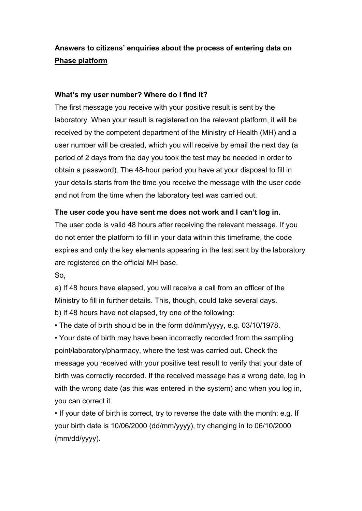### **Answers to citizens' enquiries about the process of entering data on [Phase platform](https://phase.ucy.ac.cy/)**

#### **What's my user number? Where do I find it?**

The first message you receive with your positive result is sent by the laboratory. When your result is registered on the relevant platform, it will be received by the competent department of the Ministry of Health (MH) and a user number will be created, which you will receive by email the next day (a period of 2 days from the day you took the test may be needed in order to obtain a password). The 48-hour period you have at your disposal to fill in your details starts from the time you receive the message with the user code and not from the time when the laboratory test was carried out.

#### **The user code you have sent me does not work and I can't log in.**

The user code is valid 48 hours after receiving the relevant message. If you do not enter the platform to fill in your data within this timeframe, the code expires and only the key elements appearing in the test sent by the laboratory are registered on the official MH base.

So,

a) If 48 hours have elapsed, you will receive a call from an officer of the Ministry to fill in further details. This, though, could take several days. b) If 48 hours have not elapsed, try one of the following:

• The date of birth should be in the form dd/mm/yyyy, e.g. 03/10/1978.

• Your date of birth may have been incorrectly recorded from the sampling point/laboratory/pharmacy, where the test was carried out. Check the message you received with your positive test result to verify that your date of birth was correctly recorded. If the received message has a wrong date, log in with the wrong date (as this was entered in the system) and when you log in, you can correct it.

• If your date of birth is correct, try to reverse the date with the month: e.g. If your birth date is 10/06/2000 (dd/mm/yyyy), try changing in to 06/10/2000 (mm/dd/yyyy).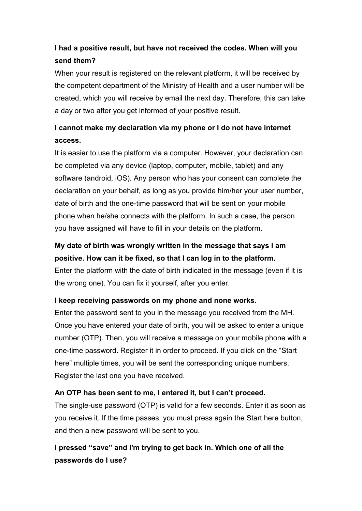### **I had a positive result, but have not received the codes. When will you send them?**

When your result is registered on the relevant platform, it will be received by the competent department of the Ministry of Health and a user number will be created, which you will receive by email the next day. Therefore, this can take a day or two after you get informed of your positive result.

## **I cannot make my declaration via my phone or I do not have internet access.**

It is easier to use the platform via a computer. However, your declaration can be completed via any device (laptop, computer, mobile, tablet) and any software (android, iOS). Any person who has your consent can complete the declaration on your behalf, as long as you provide him/her your user number, date of birth and the one-time password that will be sent on your mobile phone when he/she connects with the platform. In such a case, the person you have assigned will have to fill in your details on the platform.

# **My date of birth was wrongly written in the message that says I am positive. How can it be fixed, so that I can log in to the platform.**

Enter the platform with the date of birth indicated in the message (even if it is the wrong one). You can fix it yourself, after you enter.

### **I keep receiving passwords on my phone and none works.**

Enter the password sent to you in the message you received from the MH. Once you have entered your date of birth, you will be asked to enter a unique number (OTP). Then, you will receive a message on your mobile phone with a one-time password. Register it in order to proceed. If you click on the "Start here" multiple times, you will be sent the corresponding unique numbers. Register the last one you have received.

### **An OTP has been sent to me, I entered it, but I can't proceed.**

The single-use password (OTP) is valid for a few seconds. Enter it as soon as you receive it. If the time passes, you must press again the Start here button, and then a new password will be sent to you.

## **I pressed "save" and I'm trying to get back in. Which one of all the passwords do I use?**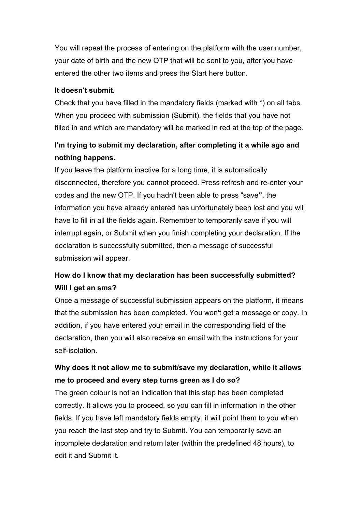You will repeat the process of entering on the platform with the user number, your date of birth and the new OTP that will be sent to you, after you have entered the other two items and press the Start here button.

#### **It doesn't submit.**

Check that you have filled in the mandatory fields (marked with \*) on all tabs. When you proceed with submission (Submit), the fields that you have not filled in and which are mandatory will be marked in red at the top of the page.

### **I'm trying to submit my declaration, after completing it a while ago and nothing happens.**

If you leave the platform inactive for a long time, it is automatically disconnected, therefore you cannot proceed. Press refresh and re-enter your codes and the new OTP. If you hadn't been able to press "save**"**, the information you have already entered has unfortunately been lost and you will have to fill in all the fields again. Remember to temporarily save if you will interrupt again, or Submit when you finish completing your declaration. If the declaration is successfully submitted, then a message of successful submission will appear.

### **How do I know that my declaration has been successfully submitted? Will I get an sms?**

Once a message of successful submission appears on the platform, it means that the submission has been completed. You won't get a message or copy. In addition, if you have entered your email in the corresponding field of the declaration, then you will also receive an email with the instructions for your self-isolation.

### **Why does it not allow me to submit/save my declaration, while it allows me to proceed and every step turns green as I do so?**

The green colour is not an indication that this step has been completed correctly. It allows you to proceed, so you can fill in information in the other fields. If you have left mandatory fields empty, it will point them to you when you reach the last step and try to Submit. You can temporarily save an incomplete declaration and return later (within the predefined 48 hours), to edit it and Submit it.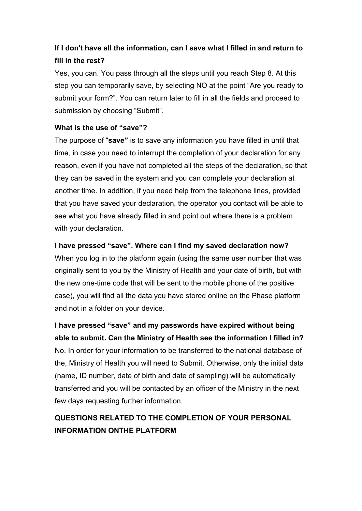## **If I don't have all the information, can I save what I filled in and return to fill in the rest?**

Yes, you can. You pass through all the steps until you reach Step 8. At this step you can temporarily save, by selecting NO at the point "Are you ready to submit your form?". You can return later to fill in all the fields and proceed to submission by choosing "Submit".

### **What is the use of "save"?**

The purpose of "**save"** is to save any information you have filled in until that time, in case you need to interrupt the completion of your declaration for any reason, even if you have not completed all the steps of the declaration, so that they can be saved in the system and you can complete your declaration at another time. In addition, if you need help from the telephone lines, provided that you have saved your declaration, the operator you contact will be able to see what you have already filled in and point out where there is a problem with your declaration.

### **I have pressed "save". Where can I find my saved declaration now?**

When you log in to the platform again (using the same user number that was originally sent to you by the Ministry of Health and your date of birth, but with the new one-time code that will be sent to the mobile phone of the positive case), you will find all the data you have stored online on the Phase platform and not in a folder on your device.

**I have pressed "save" and my passwords have expired without being able to submit. Can the Ministry of Health see the information I filled in?** No. In order for your information to be transferred to the national database of the, Ministry of Health you will need to Submit. Otherwise, only the initial data (name, ID number, date of birth and date of sampling) will be automatically transferred and you will be contacted by an officer of the Ministry in the next few days requesting further information.

## **QUESTIONS RELATED TO THE COMPLETION OF YOUR PERSONAL INFORMATION ONTHE PLATFORM**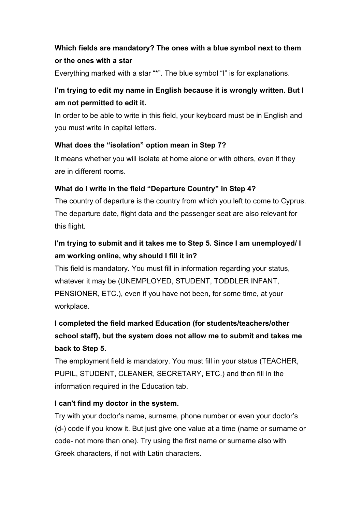### **Which fields are mandatory? The ones with a blue symbol next to them or the ones with a star**

Everything marked with a star "\*". The blue symbol "I" is for explanations.

### **I'm trying to edit my name in English because it is wrongly written. But I am not permitted to edit it.**

In order to be able to write in this field, your keyboard must be in English and you must write in capital letters.

### **What does the "isolation" option mean in Step 7?**

It means whether you will isolate at home alone or with others, even if they are in different rooms.

### **What do I write in the field "Departure Country" in Step 4?**

The country of departure is the country from which you left to come to Cyprus. The departure date, flight data and the passenger seat are also relevant for this flight.

## **I'm trying to submit and it takes me to Step 5. Since I am unemployed/ I am working online, why should I fill it in?**

This field is mandatory. You must fill in information regarding your status, whatever it may be (UNEMPLOYED, STUDENT, TODDLER INFANT, PENSIONER, ETC.), even if you have not been, for some time, at your workplace.

# **I completed the field marked Education (for students/teachers/other school staff), but the system does not allow me to submit and takes me back to Step 5.**

The employment field is mandatory. You must fill in your status (TEACHER, PUPIL, STUDENT, CLEANER, SECRETARY, ETC.) and then fill in the information required in the Education tab.

### **I can't find my doctor in the system.**

Try with your doctor's name, surname, phone number or even your doctor's (d-) code if you know it. But just give one value at a time (name or surname or code- not more than one). Try using the first name or surname also with Greek characters, if not with Latin characters.